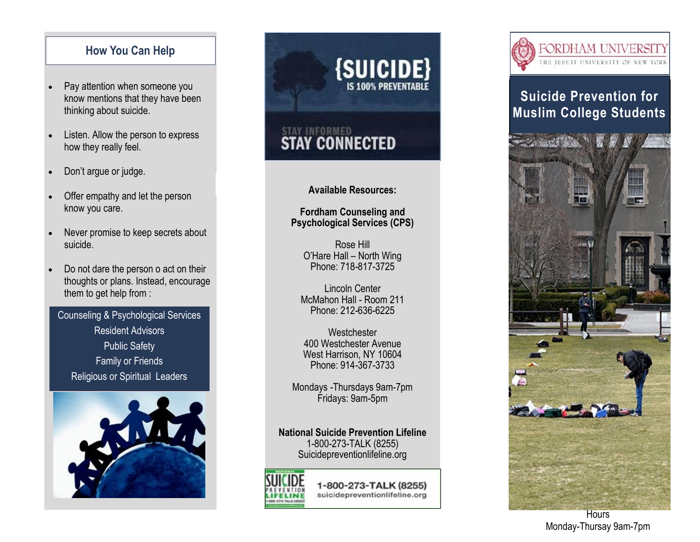#### **How You Can Help**

- Pay attention when someone you know mentions that they have been thinking about suicide.
- Listen. Allow the person to express how they really feel.
- Don't argue or judge.
- Offer empathy and let the person know you care.
- Never promise to keep secrets about suicide.
- Do not dare the person o act on their thoughts or plans. Instead, encourage them to get help from :

Counseling & Psychological Services Resident Advisors Public Safety Family or Friends Religious or Spiritual Leaders



# $\{$ SUICIDE $\}$

# **STAY CONNECTED**

#### **Available Resources:**

**Fordham Counseling and Psychological Services (CPS)**

Rose Hill O'Hare Hall – North Wing Phone: 718-817-3725

Lincoln Center McMahon Hall - Room 211 Phone: 212-636-6225

**Westchester** 400 Westchester Avenue West Harrison, NY 10604 Phone: 914-367-3733

Mondays -Thursdays 9am-7pm Fridays: 9am-5pm

**National Suicide Prevention Lifeline** 1-800-273-TALK (8255) Suicidepreventionlifeline.org



1-800-273-TALK (8255) suicidepreventionlifeline.org



# **Suicide Prevention for Muslim College Students**



**Hours** Monday-Thursay 9am-7pm